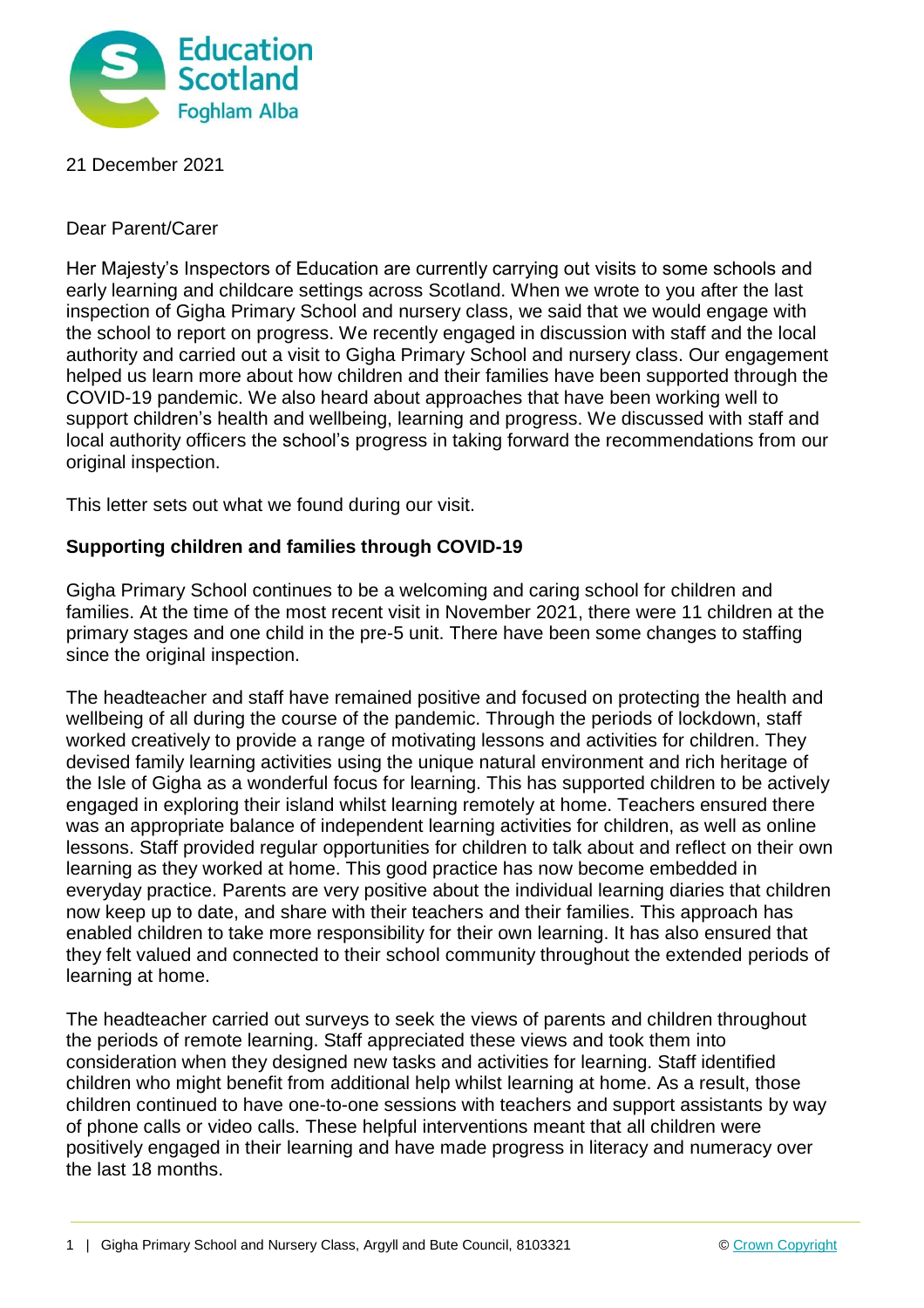

21 December 2021

Dear Parent/Carer

Her Majesty's Inspectors of Education are currently carrying out visits to some schools and early learning and childcare settings across Scotland. When we wrote to you after the last inspection of Gigha Primary School and nursery class, we said that we would engage with the school to report on progress. We recently engaged in discussion with staff and the local authority and carried out a visit to Gigha Primary School and nursery class. Our engagement helped us learn more about how children and their families have been supported through the COVID-19 pandemic. We also heard about approaches that have been working well to support children's health and wellbeing, learning and progress. We discussed with staff and local authority officers the school's progress in taking forward the recommendations from our original inspection.

This letter sets out what we found during our visit.

## **Supporting children and families through COVID-19**

Gigha Primary School continues to be a welcoming and caring school for children and families. At the time of the most recent visit in November 2021, there were 11 children at the primary stages and one child in the pre-5 unit. There have been some changes to staffing since the original inspection.

The headteacher and staff have remained positive and focused on protecting the health and wellbeing of all during the course of the pandemic. Through the periods of lockdown, staff worked creatively to provide a range of motivating lessons and activities for children. They devised family learning activities using the unique natural environment and rich heritage of the Isle of Gigha as a wonderful focus for learning. This has supported children to be actively engaged in exploring their island whilst learning remotely at home. Teachers ensured there was an appropriate balance of independent learning activities for children, as well as online lessons. Staff provided regular opportunities for children to talk about and reflect on their own learning as they worked at home. This good practice has now become embedded in everyday practice. Parents are very positive about the individual learning diaries that children now keep up to date, and share with their teachers and their families. This approach has enabled children to take more responsibility for their own learning. It has also ensured that they felt valued and connected to their school community throughout the extended periods of learning at home.

The headteacher carried out surveys to seek the views of parents and children throughout the periods of remote learning. Staff appreciated these views and took them into consideration when they designed new tasks and activities for learning. Staff identified children who might benefit from additional help whilst learning at home. As a result, those children continued to have one-to-one sessions with teachers and support assistants by way of phone calls or video calls. These helpful interventions meant that all children were positively engaged in their learning and have made progress in literacy and numeracy over the last 18 months.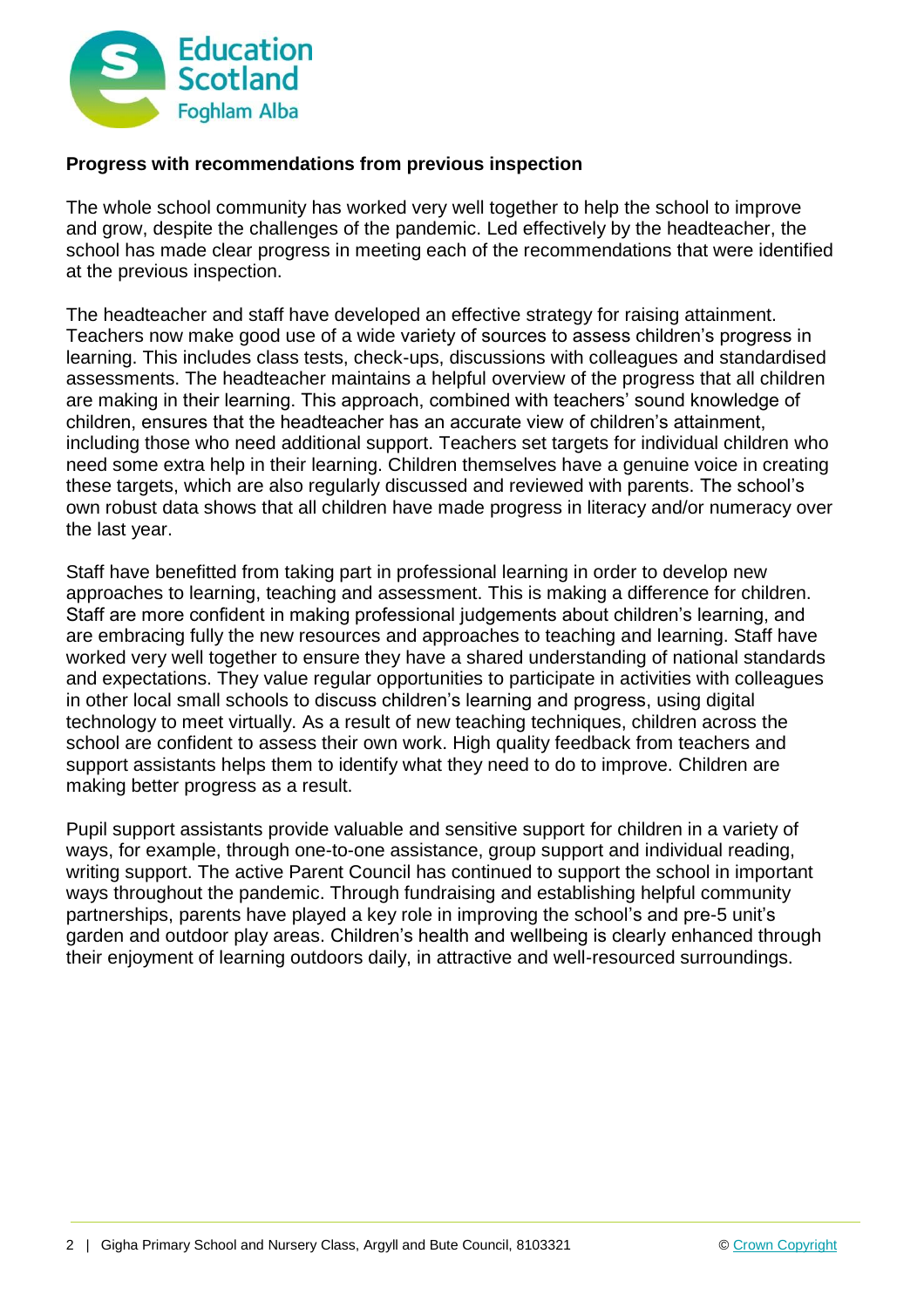

## **Progress with recommendations from previous inspection**

The whole school community has worked very well together to help the school to improve and grow, despite the challenges of the pandemic. Led effectively by the headteacher, the school has made clear progress in meeting each of the recommendations that were identified at the previous inspection.

The headteacher and staff have developed an effective strategy for raising attainment. Teachers now make good use of a wide variety of sources to assess children's progress in learning. This includes class tests, check-ups, discussions with colleagues and standardised assessments. The headteacher maintains a helpful overview of the progress that all children are making in their learning. This approach, combined with teachers' sound knowledge of children, ensures that the headteacher has an accurate view of children's attainment, including those who need additional support. Teachers set targets for individual children who need some extra help in their learning. Children themselves have a genuine voice in creating these targets, which are also regularly discussed and reviewed with parents. The school's own robust data shows that all children have made progress in literacy and/or numeracy over the last year.

Staff have benefitted from taking part in professional learning in order to develop new approaches to learning, teaching and assessment. This is making a difference for children. Staff are more confident in making professional judgements about children's learning, and are embracing fully the new resources and approaches to teaching and learning. Staff have worked very well together to ensure they have a shared understanding of national standards and expectations. They value regular opportunities to participate in activities with colleagues in other local small schools to discuss children's learning and progress, using digital technology to meet virtually. As a result of new teaching techniques, children across the school are confident to assess their own work. High quality feedback from teachers and support assistants helps them to identify what they need to do to improve. Children are making better progress as a result.

Pupil support assistants provide valuable and sensitive support for children in a variety of ways, for example, through one-to-one assistance, group support and individual reading, writing support. The active Parent Council has continued to support the school in important ways throughout the pandemic. Through fundraising and establishing helpful community partnerships, parents have played a key role in improving the school's and pre-5 unit's garden and outdoor play areas. Children's health and wellbeing is clearly enhanced through their enjoyment of learning outdoors daily, in attractive and well-resourced surroundings.